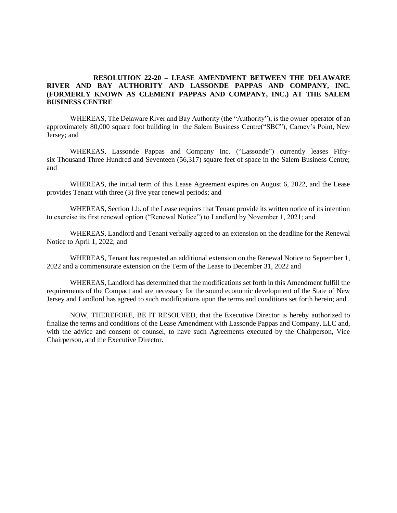## **RESOLUTION 22-20 – LEASE AMENDMENT BETWEEN THE DELAWARE RIVER AND BAY AUTHORITY AND LASSONDE PAPPAS AND COMPANY, INC. (FORMERLY KNOWN AS CLEMENT PAPPAS AND COMPANY, INC.) AT THE SALEM BUSINESS CENTRE**

WHEREAS, The Delaware River and Bay Authority (the "Authority"), is the owner-operator of an approximately 80,000 square foot building in the Salem Business Centre("SBC"), Carney's Point, New Jersey; and

WHEREAS, Lassonde Pappas and Company Inc. ("Lassonde") currently leases Fiftysix Thousand Three Hundred and Seventeen (56,317) square feet of space in the Salem Business Centre; and

WHEREAS, the initial term of this Lease Agreement expires on August 6, 2022, and the Lease provides Tenant with three (3) five year renewal periods; and

WHEREAS, Section 1.b. of the Lease requires that Tenant provide its written notice of its intention to exercise its first renewal option ("Renewal Notice") to Landlord by November 1, 2021; and

WHEREAS, Landlord and Tenant verbally agreed to an extension on the deadline for the Renewal Notice to April 1, 2022; and

WHEREAS, Tenant has requested an additional extension on the Renewal Notice to September 1, 2022 and a commensurate extension on the Term of the Lease to December 31, 2022 and

WHEREAS, Landlord has determined that the modifications set forth in this Amendment fulfill the requirements of the Compact and are necessary for the sound economic development of the State of New Jersey and Landlord has agreed to such modifications upon the terms and conditions set forth herein; and

NOW, THEREFORE, BE IT RESOLVED, that the Executive Director is hereby authorized to finalize the terms and conditions of the Lease Amendment with Lassonde Pappas and Company, LLC and, with the advice and consent of counsel, to have such Agreements executed by the Chairperson, Vice Chairperson, and the Executive Director.